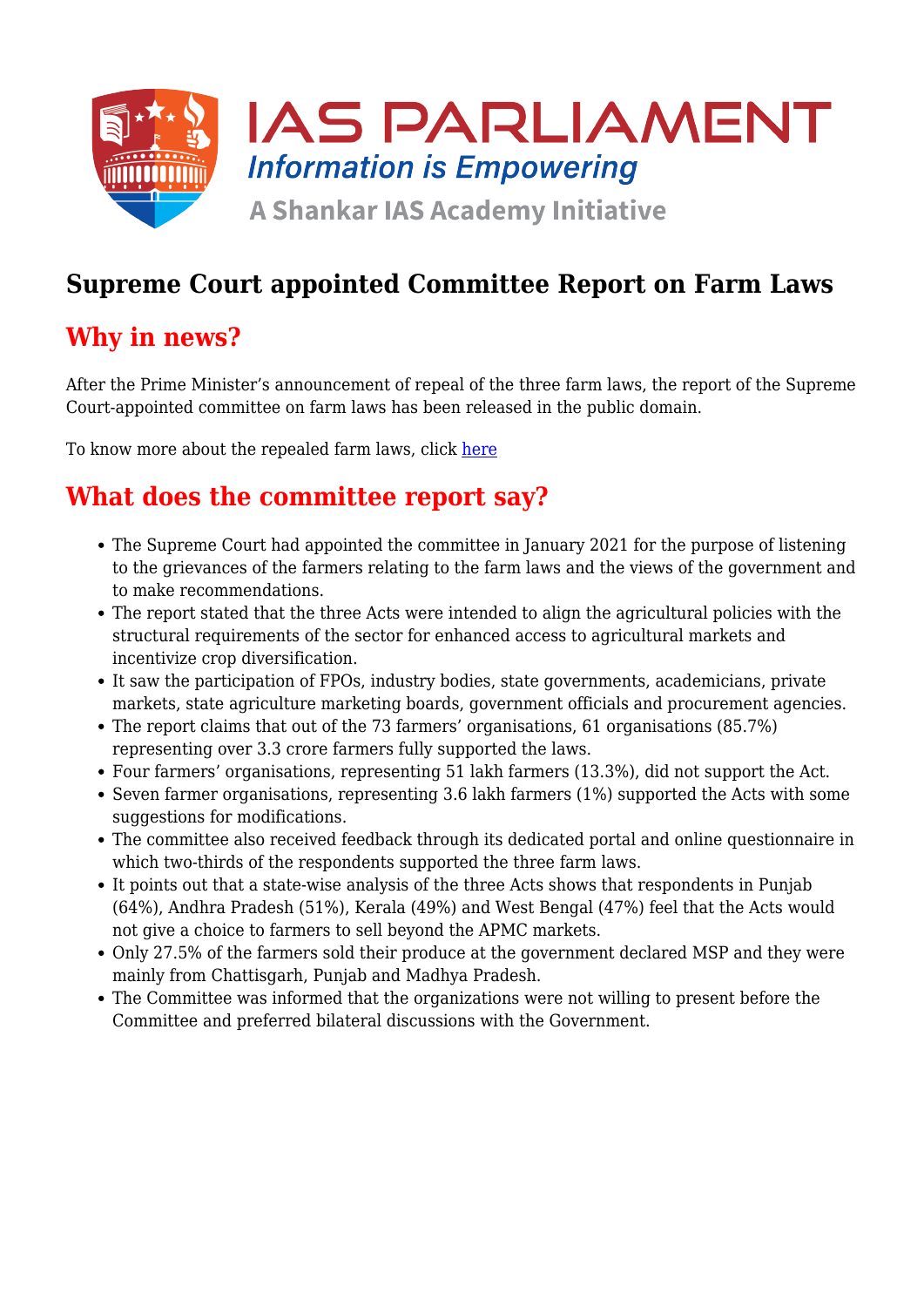

## **Supreme Court appointed Committee Report on Farm Laws**

### **Why in news?**

After the Prime Minister's announcement of repeal of the three farm laws, the report of the Supreme Court-appointed committee on farm laws has been released in the public domain.

To know more about the repealed farm laws, click [here](https://www.iasparliament.com/current-affairs/repeal-of-farm-laws)

### **What does the committee report say?**

- The Supreme Court had appointed the committee in January 2021 for the purpose of listening to the grievances of the farmers relating to the farm laws and the views of the government and to make recommendations.
- The report stated that the three Acts were intended to align the agricultural policies with the structural requirements of the sector for enhanced access to agricultural markets and incentivize crop diversification.
- It saw the participation of FPOs, industry bodies, state governments, academicians, private markets, state agriculture marketing boards, government officials and procurement agencies.
- The report claims that out of the 73 farmers' organisations, 61 organisations (85.7%) representing over 3.3 crore farmers fully supported the laws.
- Four farmers' organisations, representing 51 lakh farmers (13.3%), did not support the Act.
- Seven farmer organisations, representing 3.6 lakh farmers (1%) supported the Acts with some suggestions for modifications.
- The committee also received feedback through its dedicated portal and online questionnaire in which two-thirds of the respondents supported the three farm laws.
- It points out that a state-wise analysis of the three Acts shows that respondents in Punjab (64%), Andhra Pradesh (51%), Kerala (49%) and West Bengal (47%) feel that the Acts would not give a choice to farmers to sell beyond the APMC markets.
- Only 27.5% of the farmers sold their produce at the government declared MSP and they were mainly from Chattisgarh, Punjab and Madhya Pradesh.
- The Committee was informed that the organizations were not willing to present before the Committee and preferred bilateral discussions with the Government.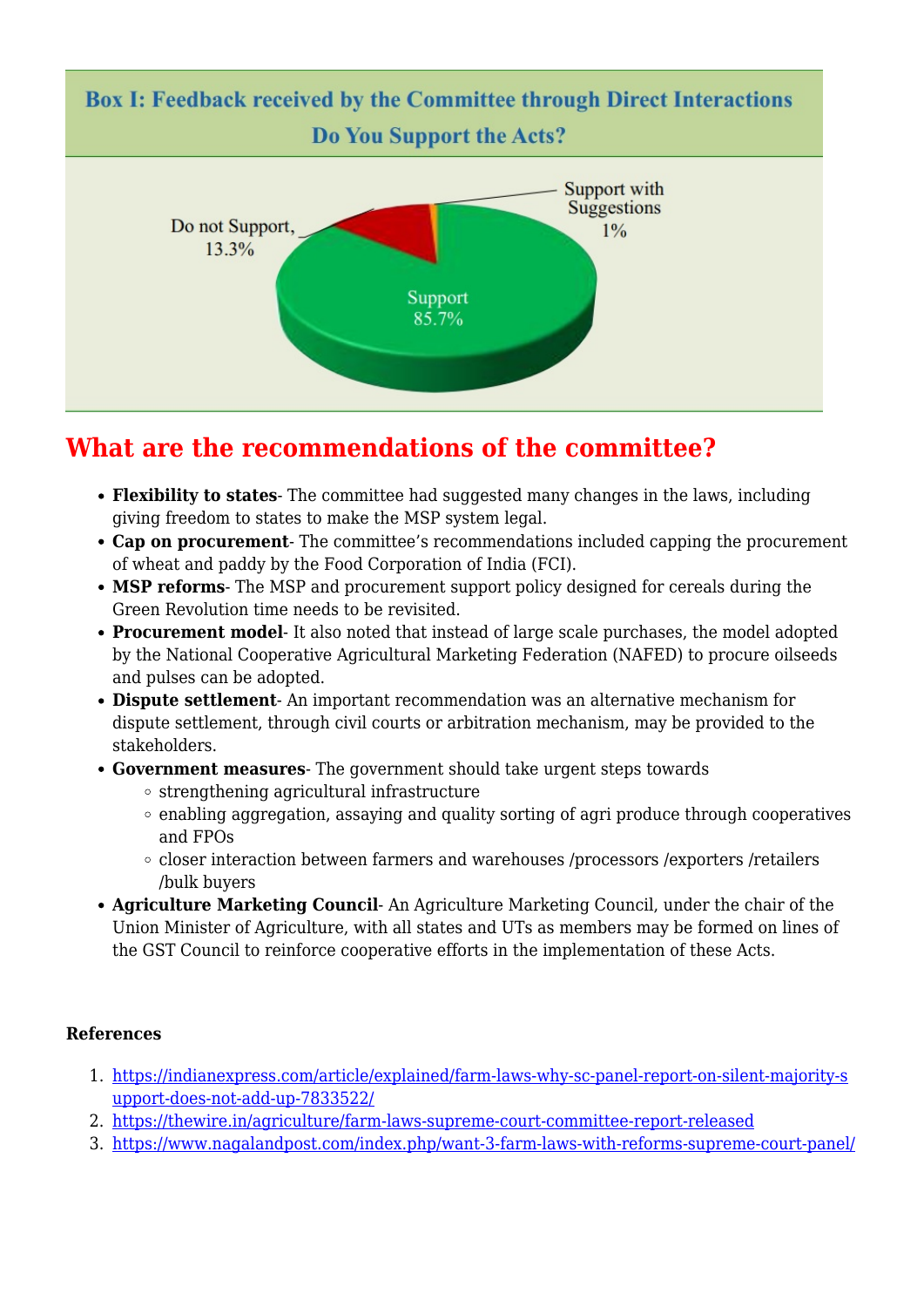

# **What are the recommendations of the committee?**

- **Flexibility to states** The committee had suggested many changes in the laws, including giving freedom to states to make the MSP system legal.
- **Cap on procurement** The committee's recommendations included capping the procurement of wheat and paddy by the Food Corporation of India (FCI).
- **MSP reforms** The MSP and procurement support policy designed for cereals during the Green Revolution time needs to be revisited.
- **Procurement model** It also noted that instead of large scale purchases, the model adopted by the National Cooperative Agricultural Marketing Federation (NAFED) to procure oilseeds and pulses can be adopted.
- **Dispute settlement** An important recommendation was an alternative mechanism for dispute settlement, through civil courts or arbitration mechanism, may be provided to the stakeholders.
- **Government measures** The government should take urgent steps towards
	- $\circ$  strengthening agricultural infrastructure
	- $\circ$  enabling aggregation, assaying and quality sorting of agri produce through cooperatives and FPOs
	- closer interaction between farmers and warehouses /processors /exporters /retailers /bulk buyers
- **Agriculture Marketing Council** An Agriculture Marketing Council, under the chair of the Union Minister of Agriculture, with all states and UTs as members may be formed on lines of the GST Council to reinforce cooperative efforts in the implementation of these Acts.

#### **References**

- 1. [https://indianexpress.com/article/explained/farm-laws-why-sc-panel-report-on-silent-majority-s](https://indianexpress.com/article/explained/farm-laws-why-sc-panel-report-on-silent-majority-support-does-not-add-up-7833522/) [upport-does-not-add-up-7833522/](https://indianexpress.com/article/explained/farm-laws-why-sc-panel-report-on-silent-majority-support-does-not-add-up-7833522/)
- 2. <https://thewire.in/agriculture/farm-laws-supreme-court-committee-report-released>
- 3. <https://www.nagalandpost.com/index.php/want-3-farm-laws-with-reforms-supreme-court-panel/>